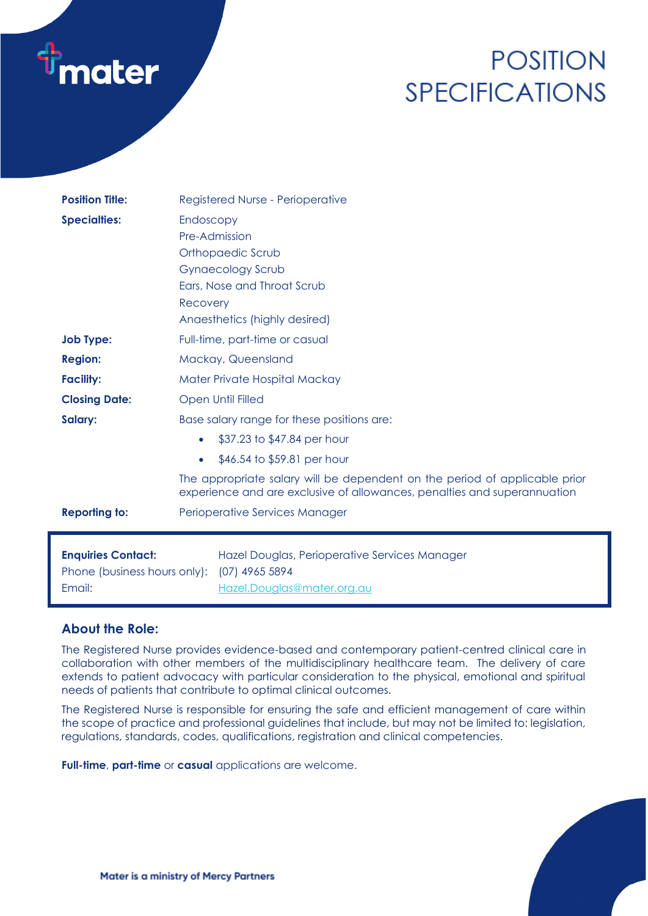# **nater**

# **POSITION SPECIFICATIONS**

| <b>Position Title:</b>       | Registered Nurse - Perioperative                                                                                                                       |
|------------------------------|--------------------------------------------------------------------------------------------------------------------------------------------------------|
| <b>Specialties:</b>          | Endoscopy<br>Pre-Admission                                                                                                                             |
|                              | Orthopaedic Scrub                                                                                                                                      |
|                              | <b>Gynaecology Scrub</b>                                                                                                                               |
|                              | Ears, Nose and Throat Scrub                                                                                                                            |
|                              | Recovery                                                                                                                                               |
|                              | Anaesthetics (highly desired)                                                                                                                          |
| <b>Job Type:</b>             | Full-time, part-time or casual                                                                                                                         |
| <b>Region:</b>               | Mackay, Queensland                                                                                                                                     |
| <b>Facility:</b>             | Mater Private Hospital Mackay                                                                                                                          |
| <b>Closing Date:</b>         | <b>Open Until Filled</b>                                                                                                                               |
| Salary:                      | Base salary range for these positions are:                                                                                                             |
|                              | \$37.23 to \$47.84 per hour<br>$\bullet$                                                                                                               |
|                              | \$46.54 to \$59.81 per hour<br>$\bullet$                                                                                                               |
|                              | The appropriate salary will be dependent on the period of applicable prior<br>experience and are exclusive of allowances, penalties and superannuation |
| <b>Reporting to:</b>         | Perioperative Services Manager                                                                                                                         |
|                              |                                                                                                                                                        |
| <b>Enquiries Contact:</b>    | Hazel Douglas, Perioperative Services Manager                                                                                                          |
| Phone (business hours only): | (07) 4965 5894                                                                                                                                         |
| Email:                       | Hazel.Douglas@mater.org.au                                                                                                                             |

## **About the Role:**

The Registered Nurse provides evidence-based and contemporary patient-centred clinical care in collaboration with other members of the multidisciplinary healthcare team. The delivery of care extends to patient advocacy with particular consideration to the physical, emotional and spiritual needs of patients that contribute to optimal clinical outcomes.

The Registered Nurse is responsible for ensuring the safe and efficient management of care within the scope of practice and professional guidelines that include, but may not be limited to: legislation, regulations, standards, codes, qualifications, registration and clinical competencies.

**Full-time**, **part-time** or **casual** applications are welcome.

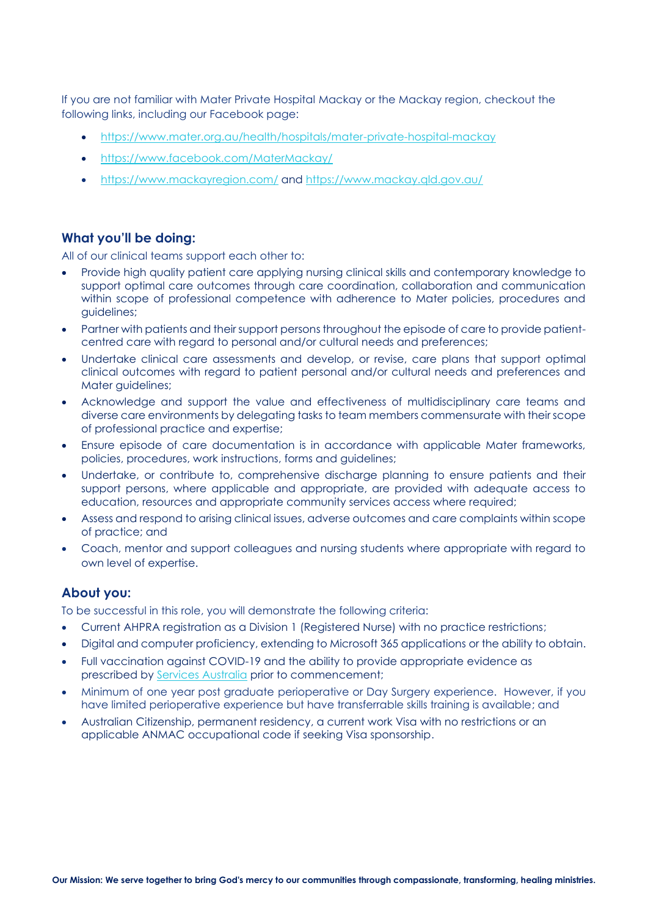If you are not familiar with Mater Private Hospital Mackay or the Mackay region, checkout the following links, including our Facebook page:

- <https://www.mater.org.au/health/hospitals/mater-private-hospital-mackay>
- <https://www.facebook.com/MaterMackay/>
- <https://www.mackayregion.com/> and<https://www.mackay.qld.gov.au/>

### **What you'll be doing:**

All of our clinical teams support each other to:

- Provide high quality patient care applying nursing clinical skills and contemporary knowledge to support optimal care outcomes through care coordination, collaboration and communication within scope of professional competence with adherence to Mater policies, procedures and guidelines;
- Partner with patients and their support persons throughout the episode of care to provide patientcentred care with regard to personal and/or cultural needs and preferences;
- Undertake clinical care assessments and develop, or revise, care plans that support optimal clinical outcomes with regard to patient personal and/or cultural needs and preferences and Mater auidelines:
- Acknowledge and support the value and effectiveness of multidisciplinary care teams and diverse care environments by delegating tasks to team members commensurate with their scope of professional practice and expertise;
- Ensure episode of care documentation is in accordance with applicable Mater frameworks, policies, procedures, work instructions, forms and guidelines;
- Undertake, or contribute to, comprehensive discharge planning to ensure patients and their support persons, where applicable and appropriate, are provided with adequate access to education, resources and appropriate community services access where required;
- Assess and respond to arising clinical issues, adverse outcomes and care complaints within scope of practice; and
- Coach, mentor and support colleagues and nursing students where appropriate with regard to own level of expertise.

#### **About you:**

To be successful in this role, you will demonstrate the following criteria:

- Current AHPRA registration as a Division 1 (Registered Nurse) with no practice restrictions;
- Digital and computer proficiency, extending to Microsoft 365 applications or the ability to obtain.
- Full vaccination against COVID-19 and the ability to provide appropriate evidence as prescribed by [Services Australia](https://www.servicesaustralia.gov.au/individuals/subjects/getting-help-during-coronavirus-covid-19/covid-19-vaccinations/how-get-proof) prior to commencement;
- Minimum of one year post graduate perioperative or Day Surgery experience. However, if you have limited perioperative experience but have transferrable skills training is available; and
- Australian Citizenship, permanent residency, a current work Visa with no restrictions or an applicable ANMAC occupational code if seeking Visa sponsorship.